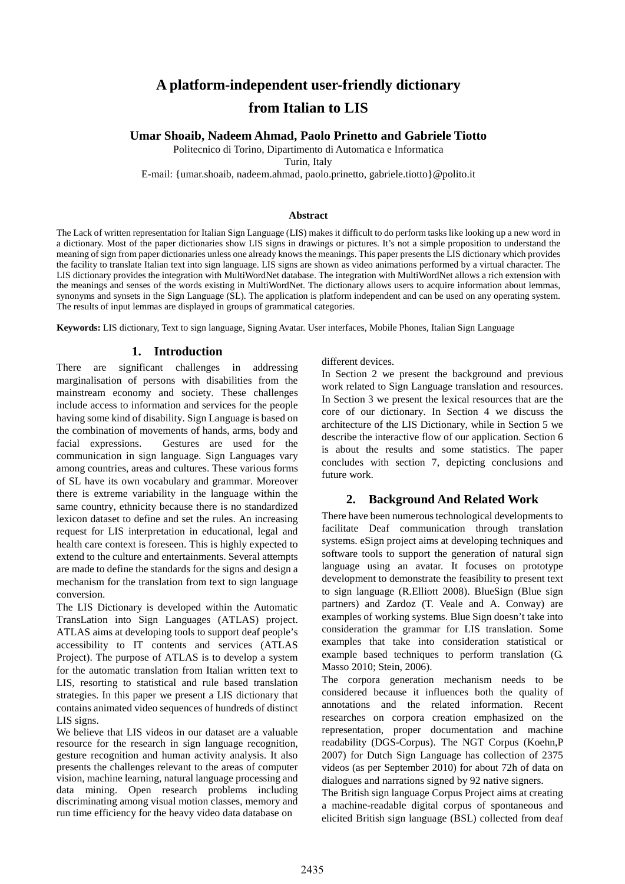# **A platform-independent user-friendly dictionary from Italian to LIS**

# **Umar Shoaib, Nadeem Ahmad, Paolo Prinetto and Gabriele Tiotto**

Politecnico di Torino, Dipartimento di Automatica e Informatica

Turin, Italy

E-mail: {umar.shoaib, nadeem.ahmad, paolo.prinetto, gabriele.tiotto}@polito.it

#### **Abstract**

The Lack of written representation for Italian Sign Language (LIS) makes it difficult to do perform tasks like looking up a new word in a dictionary. Most of the paper dictionaries show LIS signs in drawings or pictures. It's not a simple proposition to understand the meaning of sign from paper dictionaries unless one already knows the meanings. This paper presents the LIS dictionary which provides the facility to translate Italian text into sign language. LIS signs are shown as video animations performed by a virtual character. The LIS dictionary provides the integration with MultiWordNet database. The integration with MultiWordNet allows a rich extension with the meanings and senses of the words existing in MultiWordNet. The dictionary allows users to acquire information about lemmas, synonyms and synsets in the Sign Language (SL). The application is platform independent and can be used on any operating system. The results of input lemmas are displayed in groups of grammatical categories.

**Keywords:** LIS dictionary, Text to sign language, Signing Avatar. User interfaces, Mobile Phones, Italian Sign Language

### **1. Introduction**

There are significant challenges in addressing marginalisation of persons with disabilities from the mainstream economy and society. These challenges include access to information and services for the people having some kind of disability. Sign Language is based on the combination of movements of hands, arms, body and facial expressions. Gestures are used for the communication in sign language. Sign Languages vary among countries, areas and cultures. These various forms of SL have its own vocabulary and grammar. Moreover there is extreme variability in the language within the same country, ethnicity because there is no standardized lexicon dataset to define and set the rules. An increasing request for LIS interpretation in educational, legal and health care context is foreseen. This is highly expected to extend to the culture and entertainments. Several attempts are made to define the standards for the signs and design a mechanism for the translation from text to sign language conversion.

The LIS Dictionary is developed within the Automatic TransLation into Sign Languages (ATLAS) project. ATLAS aims at developing tools to support deaf people's accessibility to IT contents and services (ATLAS Project). The purpose of ATLAS is to develop a system for the automatic translation from Italian written text to LIS, resorting to statistical and rule based translation strategies. In this paper we present a LIS dictionary that contains animated video sequences of hundreds of distinct LIS signs.

We believe that LIS videos in our dataset are a valuable resource for the research in sign language recognition, gesture recognition and human activity analysis. It also presents the challenges relevant to the areas of computer vision, machine learning, natural language processing and data mining. Open research problems including discriminating among visual motion classes, memory and run time efficiency for the heavy video data database on

different devices.

In Section 2 we present the background and previous work related to Sign Language translation and resources. In Section 3 we present the lexical resources that are the core of our dictionary. In Section 4 we discuss the architecture of the LIS Dictionary, while in Section 5 we describe the interactive flow of our application. Section 6 is about the results and some statistics. The paper concludes with section 7, depicting conclusions and future work.

# **2. Background And Related Work**

There have been numerous technological developments to facilitate Deaf communication through translation systems. eSign project aims at developing techniques and software tools to support the generation of natural sign language using an avatar. It focuses on prototype development to demonstrate the feasibility to present text to sign language (R.Elliott 2008). BlueSign (Blue sign partners) and Zardoz (T. Veale and A. Conway) are examples of working systems. Blue Sign doesn't take into consideration the grammar for LIS translation. Some examples that take into consideration statistical or example based techniques to perform translation (G. Masso 2010; Stein, 2006).

The corpora generation mechanism needs to be considered because it influences both the quality of annotations and the related information. Recent researches on corpora creation emphasized on the representation, proper documentation and machine readability (DGS-Corpus). The NGT Corpus (Koehn,P 2007) for Dutch Sign Language has collection of 2375 videos (as per September 2010) for about 72h of data on dialogues and narrations signed by 92 native signers.

The British sign language Corpus Project aims at creating a machine-readable digital corpus of spontaneous and elicited British sign language (BSL) collected from deaf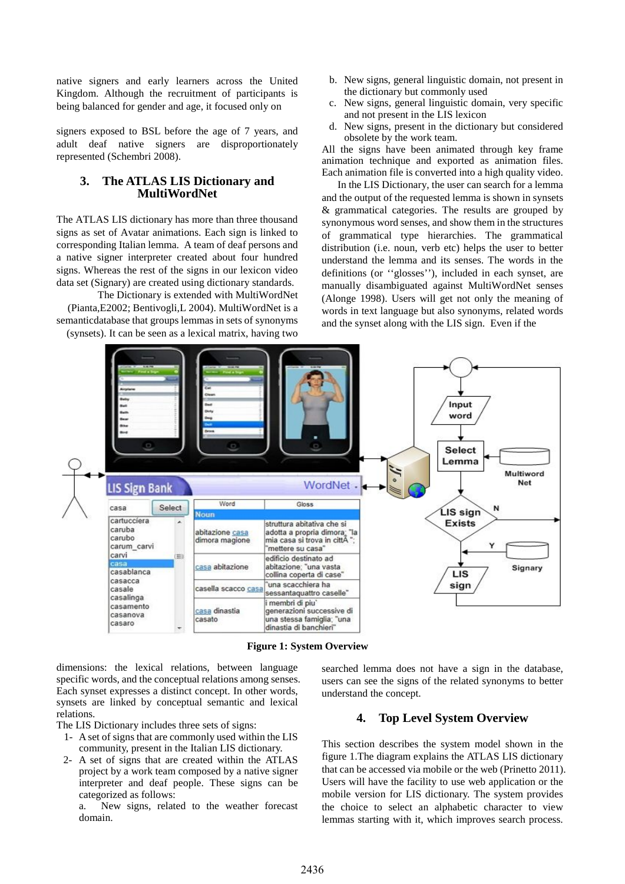native signers and early learners across the United Kingdom. Although the recruitment of participants is being balanced for gender and age, it focused only on

signers exposed to BSL before the age of 7 years, and adult deaf native signers are disproportionately represented (Schembri 2008).

## **3. The ATLAS LIS Dictionary and MultiWordNet**

The ATLAS LIS dictionary has more than three thousand signs as set of Avatar animations. Each sign is linked to corresponding Italian lemma. A team of deaf persons and a native signer interpreter created about four hundred signs. Whereas the rest of the signs in our lexicon video data set (Signary) are created using dictionary standards.

The Dictionary is extended with MultiWordNet (Pianta,E2002; Bentivogli,L 2004). MultiWordNet is a semanticdatabase that groups lemmas in sets of synonyms (synsets). It can be seen as a lexical matrix, having two

- b. New signs, general linguistic domain, not present in the dictionary but commonly used
- c. New signs, general linguistic domain, very specific and not present in the LIS lexicon
- d. New signs, present in the dictionary but considered obsolete by the work team.

All the signs have been animated through key frame animation technique and exported as animation files. Each animation file is converted into a high quality video.

 In the LIS Dictionary, the user can search for a lemma and the output of the requested lemma is shown in synsets & grammatical categories. The results are grouped by synonymous word senses, and show them in the structures of grammatical type hierarchies. The grammatical distribution (i.e. noun, verb etc) helps the user to better understand the lemma and its senses. The words in the definitions (or ''glosses''), included in each synset, are manually disambiguated against MultiWordNet senses (Alonge 1998). Users will get not only the meaning of words in text language but also synonyms, related words and the synset along with the LIS sign. Even if the



**Figure 1: System Overview** 

dimensions: the lexical relations, between language specific words, and the conceptual relations among senses. Each synset expresses a distinct concept. In other words, synsets are linked by conceptual semantic and lexical relations.

The LIS Dictionary includes three sets of signs:

- 1- A set of signs that are commonly used within the LIS community, present in the Italian LIS dictionary.
- 2- A set of signs that are created within the ATLAS project by a work team composed by a native signer interpreter and deaf people. These signs can be categorized as follows:
	- a. New signs, related to the weather forecast domain.

searched lemma does not have a sign in the database, users can see the signs of the related synonyms to better understand the concept.

# **4. Top Level System Overview**

This section describes the system model shown in the figure 1.The diagram explains the ATLAS LIS dictionary that can be accessed via mobile or the web (Prinetto 2011). Users will have the facility to use web application or the mobile version for LIS dictionary. The system provides the choice to select an alphabetic character to view lemmas starting with it, which improves search process.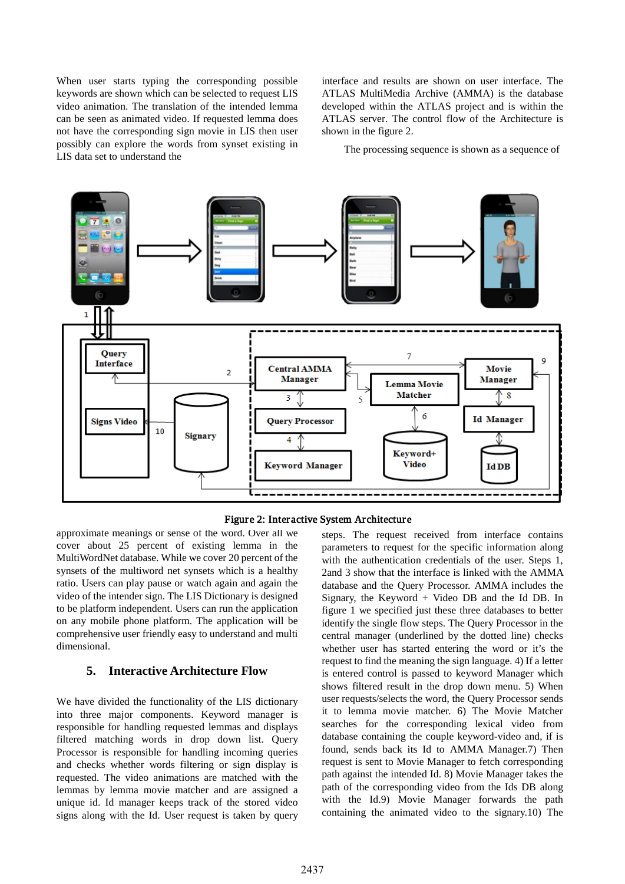When user starts typing the corresponding possible keywords are shown which can be selected to request LIS video animation. The translation of the intended lemma can be seen as animated video. If requested lemma does not have the corresponding sign movie in LIS then user possibly can explore the words from synset existing in LIS data set to understand the

interface and results are shown on user interface. The ATLAS MultiMedia Archive (AMMA) is the database developed within the ATLAS project and is within the ATLAS server. The control flow of the Architecture is shown in the figure 2.

The processing sequence is shown as a sequence of



Figure 2: Interactive System Architecture

approximate meanings or sense of the word. Over all we cover about 25 percent of existing lemma in the MultiWordNet database. While we cover 20 percent of the synsets of the multiword net synsets which is a healthy ratio. Users can play pause or watch again and again the video of the intender sign. The LIS Dictionary is designed to be platform independent. Users can run the application on any mobile phone platform. The application will be comprehensive user friendly easy to understand and multi dimensional.

# **5. Interactive Architecture Flow**

We have divided the functionality of the LIS dictionary into three major components. Keyword manager is responsible for handling requested lemmas and displays filtered matching words in drop down list. Query Processor is responsible for handling incoming queries and checks whether words filtering or sign display is requested. The video animations are matched with the lemmas by lemma movie matcher and are assigned a unique id. Id manager keeps track of the stored video signs along with the Id. User request is taken by query

steps. The request received from interface contains parameters to request for the specific information along with the authentication credentials of the user. Steps 1, 2and 3 show that the interface is linked with the AMMA database and the Query Processor. AMMA includes the Signary, the Keyword + Video DB and the Id DB. In figure 1 we specified just these three databases to better identify the single flow steps. The Query Processor in the central manager (underlined by the dotted line) checks whether user has started entering the word or it's the request to find the meaning the sign language. 4) If a letter is entered control is passed to keyword Manager which shows filtered result in the drop down menu. 5) When user requests/selects the word, the Query Processor sends it to lemma movie matcher. 6) The Movie Matcher searches for the corresponding lexical video from database containing the couple keyword-video and, if is found, sends back its Id to AMMA Manager.7) Then request is sent to Movie Manager to fetch corresponding path against the intended Id. 8) Movie Manager takes the path of the corresponding video from the Ids DB along with the Id.9) Movie Manager forwards the path containing the animated video to the signary.10) The